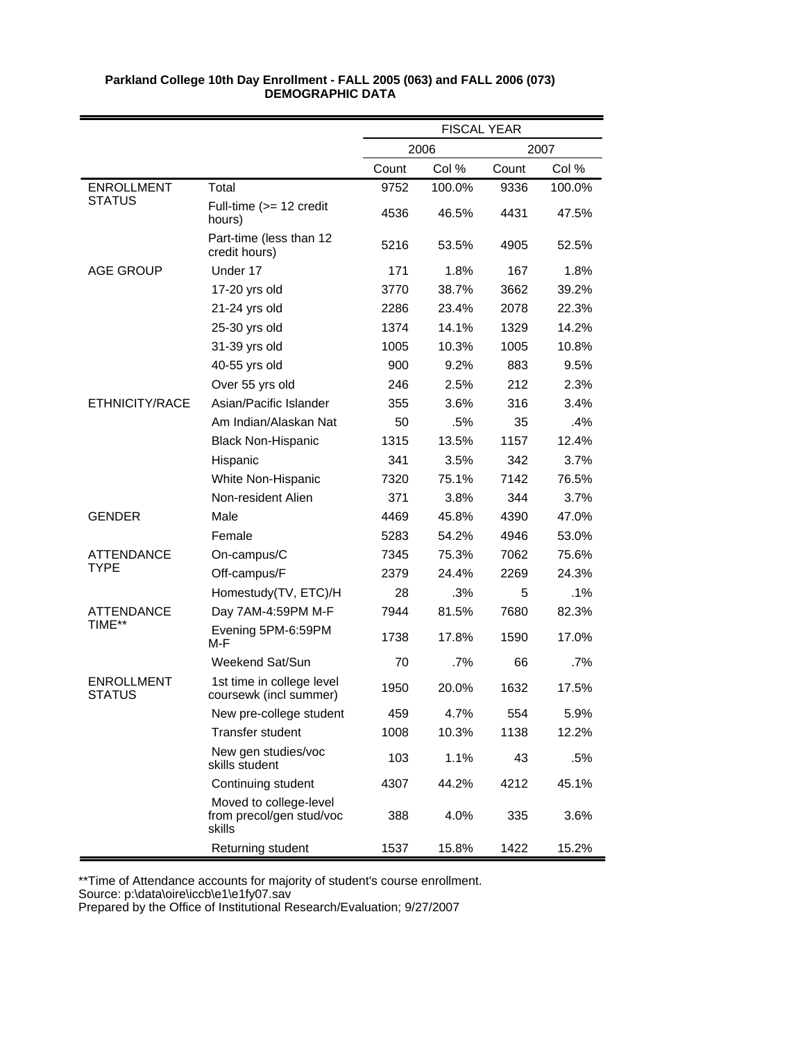|                                    |                                                              | <b>FISCAL YEAR</b> |        |       |        |
|------------------------------------|--------------------------------------------------------------|--------------------|--------|-------|--------|
|                                    |                                                              |                    | 2006   |       | 2007   |
|                                    |                                                              | Count              | Col %  | Count | Col %  |
| <b>ENROLLMENT</b>                  | Total                                                        | 9752               | 100.0% | 9336  | 100.0% |
| <b>STATUS</b>                      | Full-time $(>= 12$ credit<br>hours)                          | 4536               | 46.5%  | 4431  | 47.5%  |
|                                    | Part-time (less than 12<br>credit hours)                     | 5216               | 53.5%  | 4905  | 52.5%  |
| <b>AGE GROUP</b>                   | Under 17                                                     | 171                | 1.8%   | 167   | 1.8%   |
|                                    | 17-20 yrs old                                                | 3770               | 38.7%  | 3662  | 39.2%  |
|                                    | 21-24 yrs old                                                | 2286               | 23.4%  | 2078  | 22.3%  |
|                                    | 25-30 yrs old                                                | 1374               | 14.1%  | 1329  | 14.2%  |
|                                    | 31-39 yrs old                                                | 1005               | 10.3%  | 1005  | 10.8%  |
|                                    | 40-55 yrs old                                                | 900                | 9.2%   | 883   | 9.5%   |
|                                    | Over 55 yrs old                                              | 246                | 2.5%   | 212   | 2.3%   |
| ETHNICITY/RACE                     | Asian/Pacific Islander                                       | 355                | 3.6%   | 316   | 3.4%   |
|                                    | Am Indian/Alaskan Nat                                        | 50                 | .5%    | 35    | .4%    |
|                                    | <b>Black Non-Hispanic</b>                                    | 1315               | 13.5%  | 1157  | 12.4%  |
|                                    | Hispanic                                                     | 341                | 3.5%   | 342   | 3.7%   |
|                                    | White Non-Hispanic                                           | 7320               | 75.1%  | 7142  | 76.5%  |
|                                    | Non-resident Alien                                           | 371                | 3.8%   | 344   | 3.7%   |
| <b>GENDER</b>                      | Male                                                         | 4469               | 45.8%  | 4390  | 47.0%  |
|                                    | Female                                                       | 5283               | 54.2%  | 4946  | 53.0%  |
| <b>ATTENDANCE</b>                  | On-campus/C                                                  | 7345               | 75.3%  | 7062  | 75.6%  |
| <b>TYPE</b>                        | Off-campus/F                                                 | 2379               | 24.4%  | 2269  | 24.3%  |
|                                    | Homestudy(TV, ETC)/H                                         | 28                 | .3%    | 5     | .1%    |
| ATTENDANCE                         | Day 7AM-4:59PM M-F                                           | 7944               | 81.5%  | 7680  | 82.3%  |
| TIME**                             | Evening 5PM-6:59PM<br>M-F                                    | 1738               | 17.8%  | 1590  | 17.0%  |
|                                    | Weekend Sat/Sun                                              | 70                 | $.7\%$ | 66    | .7%    |
| <b>ENROLLMENT</b><br><b>STATUS</b> | 1st time in college level<br>coursewk (incl summer)          | 1950               | 20.0%  | 1632  | 17.5%  |
|                                    | New pre-college student                                      | 459                | 4.7%   | 554   | 5.9%   |
|                                    | Transfer student                                             | 1008               | 10.3%  | 1138  | 12.2%  |
|                                    | New gen studies/voc<br>skills student                        | 103                | 1.1%   | 43    | .5%    |
|                                    | Continuing student                                           | 4307               | 44.2%  | 4212  | 45.1%  |
|                                    | Moved to college-level<br>from precol/gen stud/voc<br>skills | 388                | 4.0%   | 335   | 3.6%   |
|                                    | Returning student                                            | 1537               | 15.8%  | 1422  | 15.2%  |

\*\*Time of Attendance accounts for majority of student's course enrollment.

Source: p:\data\oire\iccb\e1\e1fy07.sav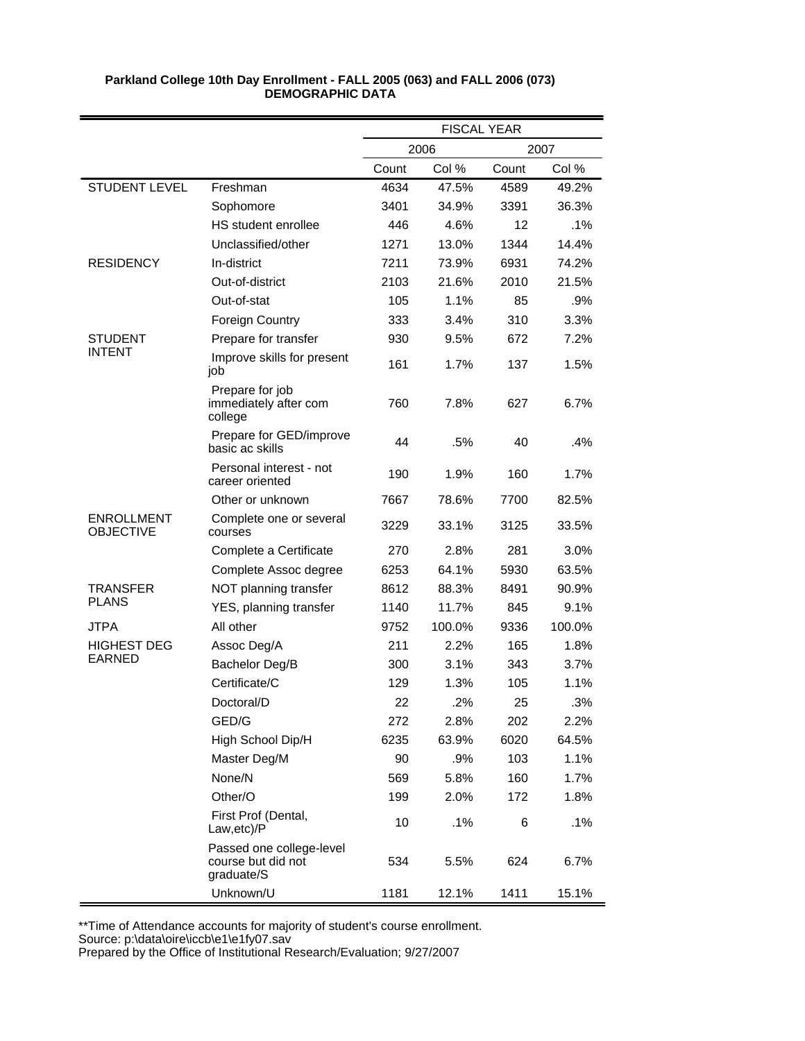|                                       |                                                              | <b>FISCAL YEAR</b> |        |       |        |
|---------------------------------------|--------------------------------------------------------------|--------------------|--------|-------|--------|
|                                       |                                                              |                    | 2006   |       | 2007   |
|                                       |                                                              | Count              | Col %  | Count | Col %  |
| <b>STUDENT LEVEL</b>                  | Freshman                                                     | 4634               | 47.5%  | 4589  | 49.2%  |
|                                       | Sophomore                                                    | 3401               | 34.9%  | 3391  | 36.3%  |
|                                       | HS student enrollee                                          | 446                | 4.6%   | 12    | .1%    |
|                                       | Unclassified/other                                           | 1271               | 13.0%  | 1344  | 14.4%  |
| <b>RESIDENCY</b>                      | In-district                                                  | 7211               | 73.9%  | 6931  | 74.2%  |
|                                       | Out-of-district                                              | 2103               | 21.6%  | 2010  | 21.5%  |
|                                       | Out-of-stat                                                  | 105                | 1.1%   | 85    | .9%    |
|                                       | <b>Foreign Country</b>                                       | 333                | 3.4%   | 310   | 3.3%   |
| STUDENT                               | Prepare for transfer                                         | 930                | 9.5%   | 672   | 7.2%   |
| <b>INTENT</b>                         | Improve skills for present<br>job                            | 161                | 1.7%   | 137   | 1.5%   |
|                                       | Prepare for job<br>immediately after com<br>college          | 760                | 7.8%   | 627   | 6.7%   |
|                                       | Prepare for GED/improve<br>basic ac skills                   | 44                 | .5%    | 40    | .4%    |
|                                       | Personal interest - not<br>career oriented                   | 190                | 1.9%   | 160   | 1.7%   |
|                                       | Other or unknown                                             | 7667               | 78.6%  | 7700  | 82.5%  |
| <b>ENROLLMENT</b><br><b>OBJECTIVE</b> | Complete one or several<br>courses                           | 3229               | 33.1%  | 3125  | 33.5%  |
|                                       | Complete a Certificate                                       | 270                | 2.8%   | 281   | 3.0%   |
|                                       | Complete Assoc degree                                        | 6253               | 64.1%  | 5930  | 63.5%  |
| TRANSFER                              | NOT planning transfer                                        | 8612               | 88.3%  | 8491  | 90.9%  |
| <b>PLANS</b>                          | YES, planning transfer                                       | 1140               | 11.7%  | 845   | 9.1%   |
| <b>JTPA</b>                           | All other                                                    | 9752               | 100.0% | 9336  | 100.0% |
| <b>HIGHEST DEG</b>                    | Assoc Deg/A                                                  | 211                | 2.2%   | 165   | 1.8%   |
| EARNED                                | Bachelor Deg/B                                               | 300                | 3.1%   | 343   | 3.7%   |
|                                       | Certificate/C                                                | 129                | 1.3%   | 105   | 1.1%   |
|                                       | Doctoral/D                                                   | 22                 | .2%    | 25    | .3%    |
|                                       | GED/G                                                        | 272                | 2.8%   | 202   | 2.2%   |
|                                       | High School Dip/H                                            | 6235               | 63.9%  | 6020  | 64.5%  |
|                                       | Master Deg/M                                                 | 90                 | .9%    | 103   | 1.1%   |
|                                       | None/N                                                       | 569                | 5.8%   | 160   | 1.7%   |
|                                       | Other/O                                                      | 199                | 2.0%   | 172   | 1.8%   |
|                                       | First Prof (Dental,<br>Law, etc)/P                           | 10                 | .1%    | 6     | .1%    |
|                                       | Passed one college-level<br>course but did not<br>graduate/S | 534                | 5.5%   | 624   | 6.7%   |
|                                       | Unknown/U                                                    | 1181               | 12.1%  | 1411  | 15.1%  |

\*\*Time of Attendance accounts for majority of student's course enrollment.

Source: p:\data\oire\iccb\e1\e1fy07.sav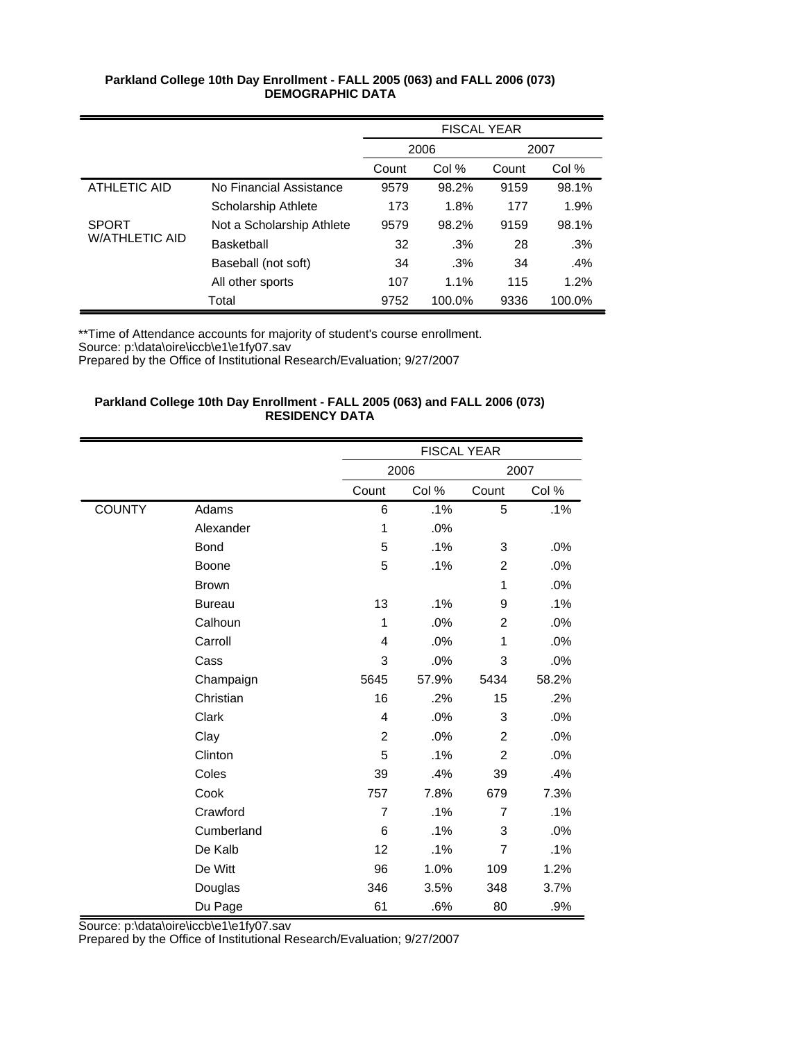|                       |                           | FISCAL YEAR |        |       |        |
|-----------------------|---------------------------|-------------|--------|-------|--------|
|                       |                           | 2006        |        |       | 2007   |
|                       |                           | Count       | Col %  | Count | Col %  |
| ATHLETIC AID          | No Financial Assistance   | 9579        | 98.2%  | 9159  | 98.1%  |
|                       | Scholarship Athlete       | 173         | 1.8%   | 177   | 1.9%   |
| <b>SPORT</b>          | Not a Scholarship Athlete | 9579        | 98.2%  | 9159  | 98.1%  |
| <b>W/ATHLETIC AID</b> | Basketball                | 32          | $.3\%$ | 28    | .3%    |
|                       | Baseball (not soft)       | 34          | $.3\%$ | 34    | .4%    |
|                       | All other sports          | 107         | 1.1%   | 115   | 1.2%   |
|                       | Total                     | 9752        | 100.0% | 9336  | 100.0% |

\*\*Time of Attendance accounts for majority of student's course enrollment.

Source: p:\data\oire\iccb\e1\e1fy07.sav

Prepared by the Office of Institutional Research/Evaluation; 9/27/2007

# **Parkland College 10th Day Enrollment - FALL 2005 (063) and FALL 2006 (073) RESIDENCY DATA**

|               |               |                |       | <b>FISCAL YEAR</b> |       |
|---------------|---------------|----------------|-------|--------------------|-------|
|               |               |                | 2006  |                    | 2007  |
|               |               | Count          | Col % | Count              | Col % |
| <b>COUNTY</b> | Adams         | 6              | .1%   | 5                  | .1%   |
|               | Alexander     | 1              | .0%   |                    |       |
|               | <b>Bond</b>   | 5              | .1%   | 3                  | .0%   |
|               | Boone         | 5              | .1%   | $\overline{c}$     | .0%   |
|               | <b>Brown</b>  |                |       | 1                  | .0%   |
|               | <b>Bureau</b> | 13             | .1%   | 9                  | .1%   |
|               | Calhoun       | 1              | .0%   | $\overline{2}$     | .0%   |
|               | Carroll       | 4              | .0%   | $\mathbf{1}$       | .0%   |
|               | Cass          | 3              | .0%   | 3                  | .0%   |
|               | Champaign     | 5645           | 57.9% | 5434               | 58.2% |
|               | Christian     | 16             | .2%   | 15                 | .2%   |
|               | Clark         | 4              | .0%   | 3                  | .0%   |
|               | Clay          | $\overline{2}$ | .0%   | $\overline{2}$     | .0%   |
|               | Clinton       | 5              | .1%   | $\overline{2}$     | .0%   |
|               | Coles         | 39             | .4%   | 39                 | .4%   |
|               | Cook          | 757            | 7.8%  | 679                | 7.3%  |
|               | Crawford      | $\overline{7}$ | .1%   | $\overline{7}$     | .1%   |
|               | Cumberland    | 6              | .1%   | 3                  | .0%   |
|               | De Kalb       | 12             | .1%   | $\overline{7}$     | .1%   |
|               | De Witt       | 96             | 1.0%  | 109                | 1.2%  |
|               | Douglas       | 346            | 3.5%  | 348                | 3.7%  |
|               | Du Page       | 61             | .6%   | 80                 | .9%   |

Source: p:\data\oire\iccb\e1\e1fy07.sav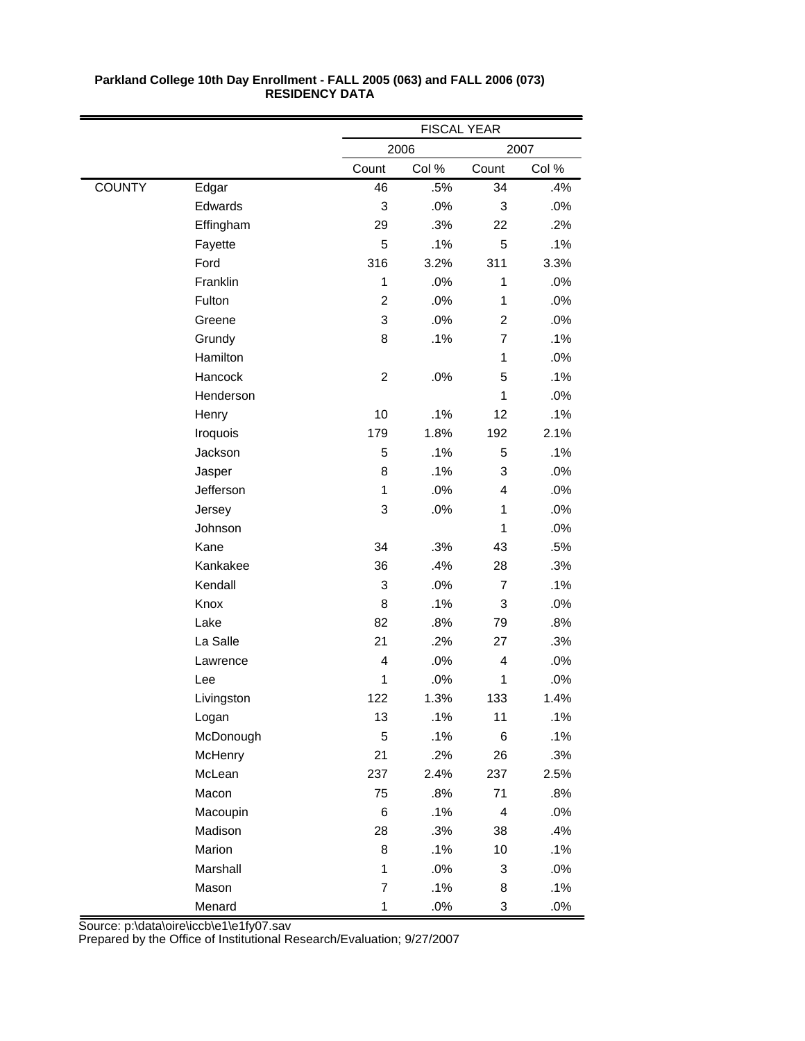|               |            | <b>FISCAL YEAR</b> |       |                |       |
|---------------|------------|--------------------|-------|----------------|-------|
|               |            |                    | 2006  |                | 2007  |
|               |            | Count              | Col % | Count          | Col % |
| <b>COUNTY</b> | Edgar      | 46                 | .5%   | 34             | .4%   |
|               | Edwards    | 3                  | .0%   | 3              | .0%   |
|               | Effingham  | 29                 | .3%   | 22             | .2%   |
|               | Fayette    | 5                  | .1%   | 5              | .1%   |
|               | Ford       | 316                | 3.2%  | 311            | 3.3%  |
|               | Franklin   | 1                  | .0%   | 1              | .0%   |
|               | Fulton     | $\overline{2}$     | .0%   | 1              | .0%   |
|               | Greene     | 3                  | .0%   | $\overline{c}$ | .0%   |
|               | Grundy     | 8                  | .1%   | $\overline{7}$ | .1%   |
|               | Hamilton   |                    |       | $\mathbf{1}$   | .0%   |
|               | Hancock    | $\overline{c}$     | .0%   | 5              | .1%   |
|               | Henderson  |                    |       | 1              | .0%   |
|               | Henry      | 10                 | .1%   | 12             | .1%   |
|               | Iroquois   | 179                | 1.8%  | 192            | 2.1%  |
|               | Jackson    | 5                  | .1%   | 5              | .1%   |
|               | Jasper     | 8                  | .1%   | 3              | .0%   |
|               | Jefferson  | $\mathbf{1}$       | .0%   | 4              | .0%   |
|               | Jersey     | 3                  | .0%   | 1              | .0%   |
|               | Johnson    |                    |       | 1              | .0%   |
|               | Kane       | 34                 | .3%   | 43             | .5%   |
|               | Kankakee   | 36                 | .4%   | 28             | .3%   |
|               | Kendall    | 3                  | .0%   | $\overline{7}$ | .1%   |
|               | Knox       | 8                  | .1%   | 3              | .0%   |
|               | Lake       | 82                 | .8%   | 79             | .8%   |
|               | La Salle   | 21                 | .2%   | 27             | .3%   |
|               | Lawrence   | 4                  | .0%   | $\overline{4}$ | .0%   |
|               | Lee        | 1                  | .0%   | 1              | .0%   |
|               | Livingston | 122                | 1.3%  | 133            | 1.4%  |
|               | Logan      | 13                 | .1%   | 11             | .1%   |
|               | McDonough  | 5                  | .1%   | $\,6$          | .1%   |
|               | McHenry    | 21                 | .2%   | 26             | .3%   |
|               | McLean     | 237                | 2.4%  | 237            | 2.5%  |
|               | Macon      | 75                 | .8%   | 71             | .8%   |
|               | Macoupin   | 6                  | .1%   | $\overline{4}$ | .0%   |
|               | Madison    | 28                 | .3%   | 38             | .4%   |
|               | Marion     | 8                  | .1%   | $10$           | .1%   |
|               | Marshall   | 1                  | .0%   | 3              | .0%   |
|               | Mason      | $\overline{7}$     | .1%   | 8              | .1%   |
|               | Menard     | $\mathbf{1}$       | .0%   | 3              | .0%   |

Source: p:\data\oire\iccb\e1\e1fy07.sav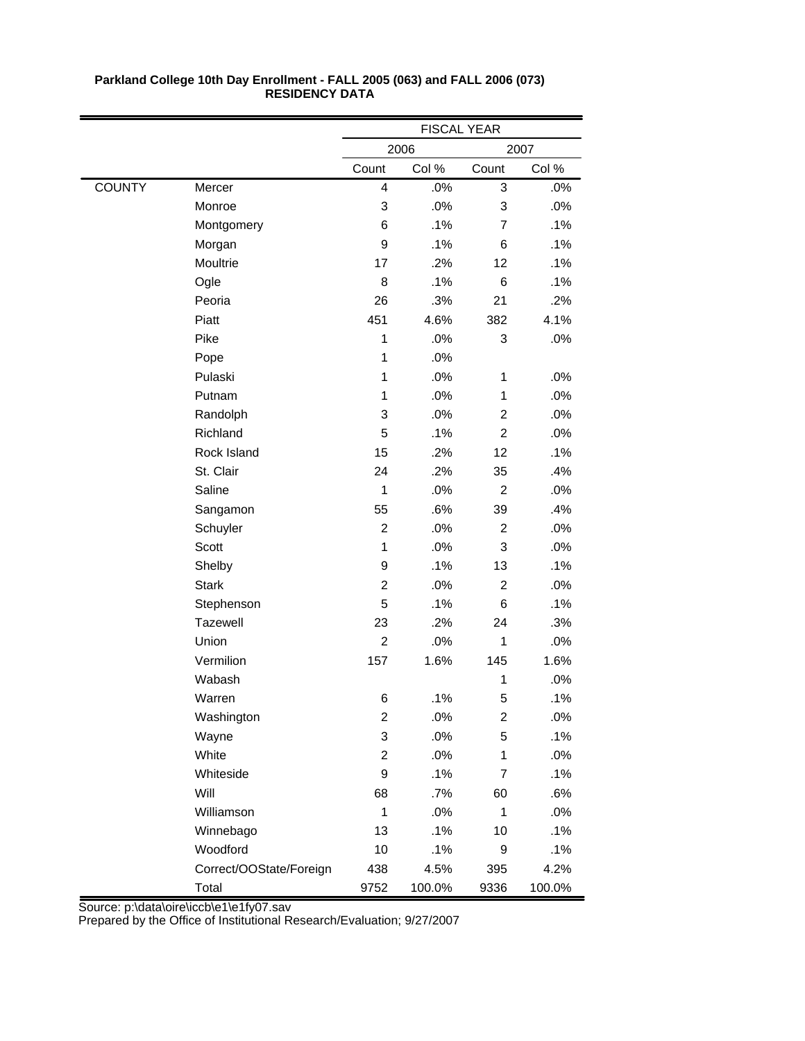|               |                         | <b>FISCAL YEAR</b> |        |                |        |
|---------------|-------------------------|--------------------|--------|----------------|--------|
|               |                         |                    | 2006   |                | 2007   |
|               |                         | Count              | Col %  | Count          | Col %  |
| <b>COUNTY</b> | Mercer                  | 4                  | .0%    | 3              | .0%    |
|               | Monroe                  | 3                  | .0%    | 3              | .0%    |
|               | Montgomery              | 6                  | .1%    | $\overline{7}$ | .1%    |
|               | Morgan                  | 9                  | .1%    | 6              | .1%    |
|               | Moultrie                | 17                 | .2%    | 12             | .1%    |
|               | Ogle                    | 8                  | .1%    | 6              | .1%    |
|               | Peoria                  | 26                 | .3%    | 21             | .2%    |
|               | Piatt                   | 451                | 4.6%   | 382            | 4.1%   |
|               | Pike                    | 1                  | .0%    | 3              | .0%    |
|               | Pope                    | $\mathbf 1$        | .0%    |                |        |
|               | Pulaski                 | 1                  | .0%    | $\mathbf{1}$   | .0%    |
|               | Putnam                  | 1                  | .0%    | $\mathbf{1}$   | .0%    |
|               | Randolph                | 3                  | .0%    | $\overline{2}$ | .0%    |
|               | Richland                | 5                  | .1%    | $\overline{2}$ | .0%    |
|               | Rock Island             | 15                 | .2%    | 12             | .1%    |
|               | St. Clair               | 24                 | .2%    | 35             | .4%    |
|               | Saline                  | 1                  | .0%    | $\overline{c}$ | .0%    |
|               | Sangamon                | 55                 | .6%    | 39             | .4%    |
|               | Schuyler                | $\overline{c}$     | .0%    | $\overline{2}$ | .0%    |
|               | Scott                   | $\mathbf{1}$       | .0%    | 3              | .0%    |
|               | Shelby                  | 9                  | .1%    | 13             | .1%    |
|               | <b>Stark</b>            | $\overline{c}$     | .0%    | $\overline{c}$ | .0%    |
|               | Stephenson              | 5                  | .1%    | 6              | .1%    |
|               | Tazewell                | 23                 | .2%    | 24             | .3%    |
|               | Union                   | $\overline{c}$     | .0%    | 1              | .0%    |
|               | Vermilion               | 157                | 1.6%   | 145            | 1.6%   |
|               | Wabash                  |                    |        | 1              | .0%    |
|               | Warren                  | 6                  | .1%    | 5              | .1%    |
|               | Washington              | $\overline{2}$     | .0%    | 2              | .0%    |
|               | Wayne                   | 3                  | .0%    | 5              | .1%    |
|               | White                   | $\overline{c}$     | .0%    | $\mathbf{1}$   | .0%    |
|               | Whiteside               | 9                  | .1%    | 7              | .1%    |
|               | Will                    | 68                 | .7%    | 60             | .6%    |
|               | Williamson              | $\mathbf 1$        | .0%    | 1              | .0%    |
|               | Winnebago               | 13                 | .1%    | 10             | .1%    |
|               | Woodford                | 10                 | .1%    | 9              | .1%    |
|               | Correct/OOState/Foreign | 438                | 4.5%   | 395            | 4.2%   |
|               | Total                   | 9752               | 100.0% | 9336           | 100.0% |

Source: p:\data\oire\iccb\e1\e1fy07.sav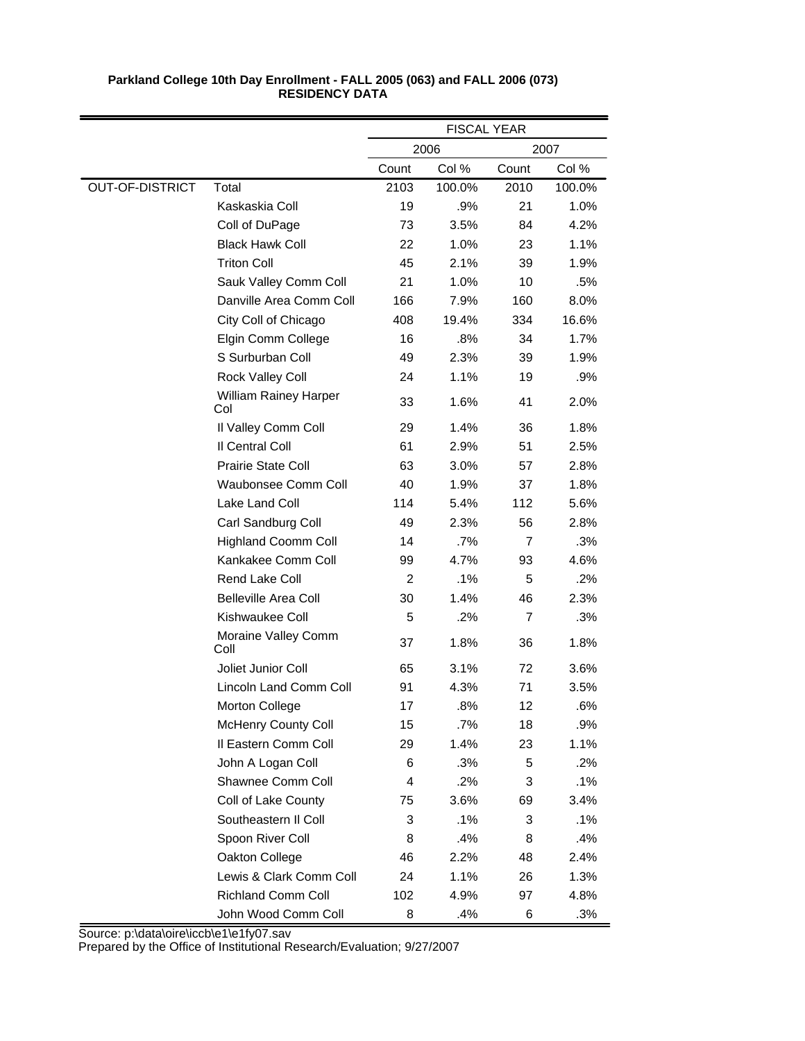|                        |                                     | <b>FISCAL YEAR</b> |        |                |        |
|------------------------|-------------------------------------|--------------------|--------|----------------|--------|
|                        |                                     |                    | 2006   |                | 2007   |
|                        |                                     | Count              | Col %  | Count          | Col %  |
| <b>OUT-OF-DISTRICT</b> | Total                               | 2103               | 100.0% | 2010           | 100.0% |
|                        | Kaskaskia Coll                      | 19                 | .9%    | 21             | 1.0%   |
|                        | Coll of DuPage                      | 73                 | 3.5%   | 84             | 4.2%   |
|                        | <b>Black Hawk Coll</b>              | 22                 | 1.0%   | 23             | 1.1%   |
|                        | <b>Triton Coll</b>                  | 45                 | 2.1%   | 39             | 1.9%   |
|                        | Sauk Valley Comm Coll               | 21                 | 1.0%   | 10             | .5%    |
|                        | Danville Area Comm Coll             | 166                | 7.9%   | 160            | 8.0%   |
|                        | City Coll of Chicago                | 408                | 19.4%  | 334            | 16.6%  |
|                        | Elgin Comm College                  | 16                 | $.8\%$ | 34             | 1.7%   |
|                        | S Surburban Coll                    | 49                 | 2.3%   | 39             | 1.9%   |
|                        | Rock Valley Coll                    | 24                 | 1.1%   | 19             | .9%    |
|                        | <b>William Rainey Harper</b><br>Col | 33                 | 1.6%   | 41             | 2.0%   |
|                        | Il Valley Comm Coll                 | 29                 | 1.4%   | 36             | 1.8%   |
|                        | Il Central Coll                     | 61                 | 2.9%   | 51             | 2.5%   |
|                        | <b>Prairie State Coll</b>           | 63                 | 3.0%   | 57             | 2.8%   |
|                        | Waubonsee Comm Coll                 | 40                 | 1.9%   | 37             | 1.8%   |
|                        | Lake Land Coll                      | 114                | 5.4%   | 112            | 5.6%   |
|                        | Carl Sandburg Coll                  | 49                 | 2.3%   | 56             | 2.8%   |
|                        | <b>Highland Coomm Coll</b>          | 14                 | $.7\%$ | $\overline{7}$ | .3%    |
|                        | Kankakee Comm Coll                  | 99                 | 4.7%   | 93             | 4.6%   |
|                        | Rend Lake Coll                      | $\overline{2}$     | .1%    | 5              | .2%    |
|                        | <b>Belleville Area Coll</b>         | 30                 | 1.4%   | 46             | 2.3%   |
|                        | Kishwaukee Coll                     | 5                  | .2%    | $\overline{7}$ | .3%    |
|                        | Moraine Valley Comm<br>Coll         | 37                 | 1.8%   | 36             | 1.8%   |
|                        | Joliet Junior Coll                  | 65                 | 3.1%   | 72             | 3.6%   |
|                        | Lincoln Land Comm Coll              | 91                 | 4.3%   | 71             | 3.5%   |
|                        | <b>Morton College</b>               | 17                 | .8%    | 12             | .6%    |
|                        | <b>McHenry County Coll</b>          | 15                 | .7%    | 18             | .9%    |
|                        | Il Eastern Comm Coll                | 29                 | 1.4%   | 23             | 1.1%   |
|                        | John A Logan Coll                   | 6                  | .3%    | 5              | .2%    |
|                        | Shawnee Comm Coll                   | 4                  | .2%    | 3              | .1%    |
|                        | Coll of Lake County                 | 75                 | 3.6%   | 69             | 3.4%   |
|                        | Southeastern II Coll                | 3                  | .1%    | 3              | .1%    |
|                        | Spoon River Coll                    | 8                  | .4%    | 8              | .4%    |
|                        | Oakton College                      | 46                 | 2.2%   | 48             | 2.4%   |
|                        | Lewis & Clark Comm Coll             | 24                 | 1.1%   | 26             | 1.3%   |
|                        | <b>Richland Comm Coll</b>           | 102                | 4.9%   | 97             | 4.8%   |
|                        | John Wood Comm Coll                 | 8                  | .4%    | 6              | .3%    |

Source: p:\data\oire\iccb\e1\e1fy07.sav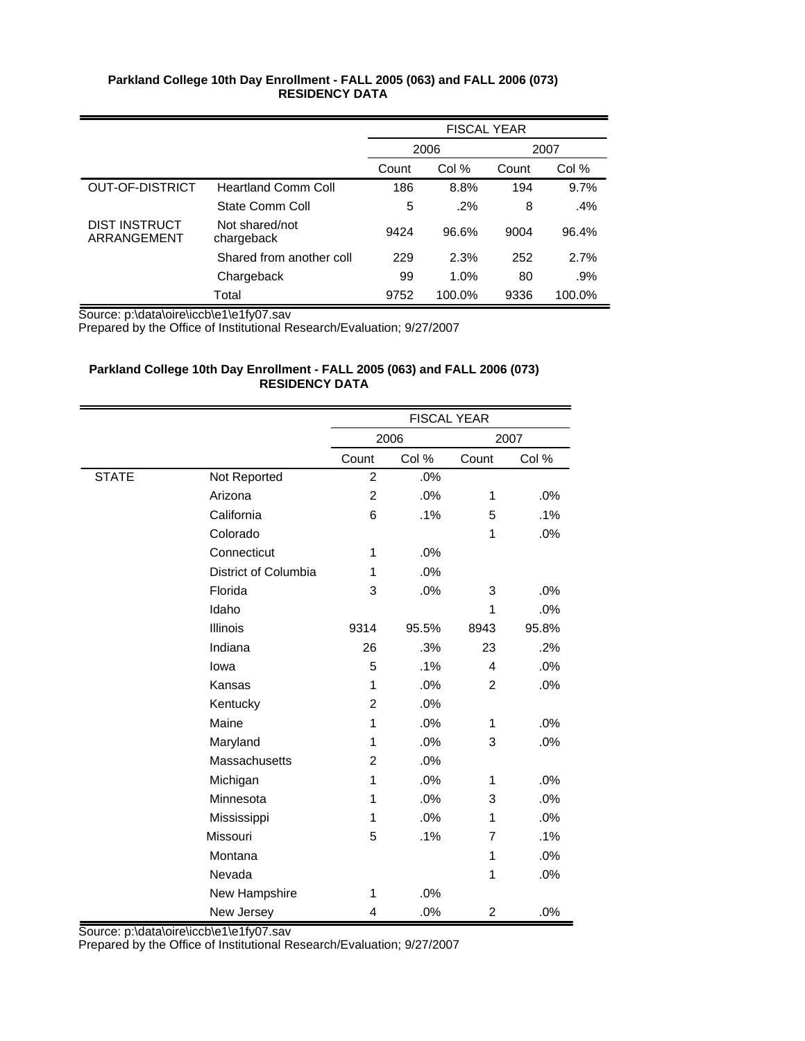|                              |                              | <b>FISCAL YEAR</b> |        |       |        |
|------------------------------|------------------------------|--------------------|--------|-------|--------|
|                              |                              | 2006               |        |       | 2007   |
|                              |                              | Count              | Col %  | Count | Col %  |
| <b>OUT-OF-DISTRICT</b>       | <b>Heartland Comm Coll</b>   | 186                | 8.8%   | 194   | 9.7%   |
|                              | State Comm Coll              | 5                  | $.2\%$ | 8     | .4%    |
| DIST INSTRUCT<br>ARRANGEMENT | Not shared/not<br>chargeback | 9424               | 96.6%  | 9004  | 96.4%  |
|                              | Shared from another coll     | 229                | 2.3%   | 252   | 2.7%   |
|                              | Chargeback                   | 99                 | 1.0%   | 80    | .9%    |
|                              | Total                        | 9752               | 100.0% | 9336  | 100.0% |

Source: p:\data\oire\iccb\e1\e1fy07.sav

Prepared by the Office of Institutional Research/Evaluation; 9/27/2007

# **Parkland College 10th Day Enrollment - FALL 2005 (063) and FALL 2006 (073) RESIDENCY DATA**

|              |                      |                | <b>FISCAL YEAR</b> |                |       |
|--------------|----------------------|----------------|--------------------|----------------|-------|
|              |                      |                | 2006               |                | 2007  |
|              |                      | Count          | Col %              | Count          | Col % |
| <b>STATE</b> | Not Reported         | $\overline{c}$ | .0%                |                |       |
|              | Arizona              | 2              | .0%                | 1              | .0%   |
|              | California           | 6              | .1%                | 5              | .1%   |
|              | Colorado             |                |                    | 1              | .0%   |
|              | Connecticut          | 1              | .0%                |                |       |
|              | District of Columbia | 1              | .0%                |                |       |
|              | Florida              | 3              | .0%                | 3              | .0%   |
|              | Idaho                |                |                    | 1              | .0%   |
|              | <b>Illinois</b>      | 9314           | 95.5%              | 8943           | 95.8% |
|              | Indiana              | 26             | .3%                | 23             | .2%   |
|              | lowa                 | 5              | .1%                | 4              | .0%   |
|              | Kansas               | 1              | .0%                | $\overline{2}$ | .0%   |
|              | Kentucky             | 2              | .0%                |                |       |
|              | Maine                | $\mathbf 1$    | .0%                | 1              | .0%   |
|              | Maryland             | 1              | .0%                | 3              | .0%   |
|              | Massachusetts        | 2              | .0%                |                |       |
|              | Michigan             | 1              | .0%                | 1              | .0%   |
|              | Minnesota            | 1              | .0%                | 3              | .0%   |
|              | Mississippi          | 1              | .0%                | 1              | .0%   |
|              | Missouri             | 5              | .1%                | 7              | .1%   |
|              | Montana              |                |                    | 1              | .0%   |
|              | Nevada               |                |                    | 1              | .0%   |
|              | New Hampshire        | 1              | .0%                |                |       |
|              | New Jersey           | 4              | .0%                | $\overline{c}$ | .0%   |

Source: p:\data\oire\iccb\e1\e1fy07.sav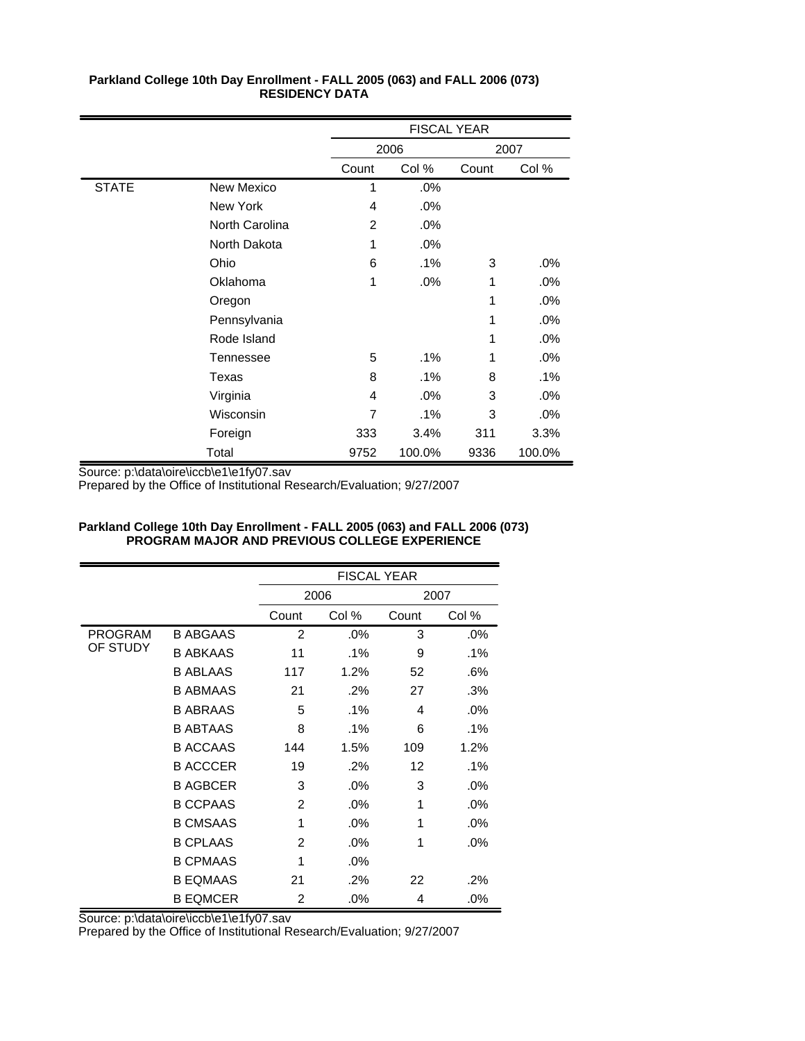|              |                 |       | <b>FISCAL YEAR</b> |       |        |
|--------------|-----------------|-------|--------------------|-------|--------|
|              |                 |       | 2006               |       | 2007   |
|              |                 | Count | Col %              | Count | Col %  |
| <b>STATE</b> | New Mexico      | 1     | .0%                |       |        |
|              | <b>New York</b> | 4     | $.0\%$             |       |        |
|              | North Carolina  | 2     | .0%                |       |        |
|              | North Dakota    | 1     | $.0\%$             |       |        |
|              | Ohio            | 6     | .1%                | 3     | .0%    |
|              | Oklahoma        | 1     | $.0\%$             | 1     | .0%    |
|              | Oregon          |       |                    | 1     | .0%    |
|              | Pennsylvania    |       |                    | 1     | .0%    |
|              | Rode Island     |       |                    | 1     | .0%    |
|              | Tennessee       | 5     | .1%                | 1     | $.0\%$ |
|              | Texas           | 8     | .1%                | 8     | .1%    |
|              | Virginia        | 4     | .0%                | 3     | $.0\%$ |
|              | Wisconsin       | 7     | .1%                | 3     | .0%    |
|              | Foreign         | 333   | 3.4%               | 311   | 3.3%   |
|              | Total           | 9752  | 100.0%             | 9336  | 100.0% |

Source: p:\data\oire\iccb\e1\e1fy07.sav

Prepared by the Office of Institutional Research/Evaluation; 9/27/2007

#### **Parkland College 10th Day Enrollment - FALL 2005 (063) and FALL 2006 (073) PROGRAM MAJOR AND PREVIOUS COLLEGE EXPERIENCE**

|          |                 |       | <b>FISCAL YEAR</b> |       |        |  |  |
|----------|-----------------|-------|--------------------|-------|--------|--|--|
|          |                 |       | 2006               |       | 2007   |  |  |
|          |                 | Count | Col %              | Count | Col %  |  |  |
| PROGRAM  | <b>B ABGAAS</b> | 2     | .0%                | 3     | $.0\%$ |  |  |
| OF STUDY | <b>B ABKAAS</b> | 11    | $.1\%$             | 9     | $.1\%$ |  |  |
|          | <b>B ABLAAS</b> | 117   | 1.2%               | 52    | .6%    |  |  |
|          | <b>B ABMAAS</b> | 21    | .2%                | 27    | .3%    |  |  |
|          | <b>B ABRAAS</b> | 5     | $.1\%$             | 4     | .0%    |  |  |
|          | <b>B ABTAAS</b> | 8     | $.1\%$             | 6     | .1%    |  |  |
|          | <b>B ACCAAS</b> | 144   | 1.5%               | 109   | 1.2%   |  |  |
|          | <b>B ACCCER</b> | 19    | $.2\%$             | 12    | .1%    |  |  |
|          | <b>B AGBCER</b> | 3     | .0%                | 3     | .0%    |  |  |
|          | <b>B CCPAAS</b> | 2     | .0%                | 1     | .0%    |  |  |
|          | <b>B CMSAAS</b> | 1     | .0%                | 1     | .0%    |  |  |
|          | <b>B CPLAAS</b> | 2     | .0%                | 1     | $.0\%$ |  |  |
|          | <b>B CPMAAS</b> | 1     | .0%                |       |        |  |  |
|          | <b>B EQMAAS</b> | 21    | $.2\%$             | 22    | .2%    |  |  |
|          | <b>B EQMCER</b> | 2     | $.0\%$             | 4     | .0%    |  |  |

Source: p:\data\oire\iccb\e1\e1fy07.sav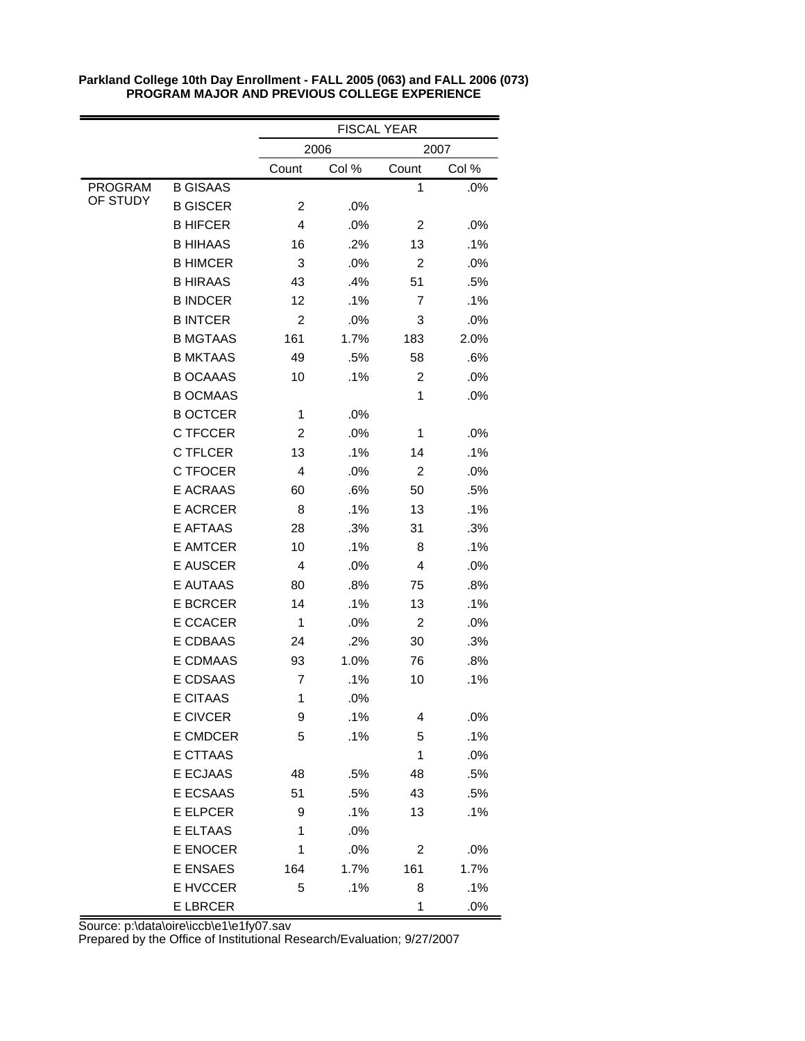|                |                 | <b>FISCAL YEAR</b> |       |                |       |  |
|----------------|-----------------|--------------------|-------|----------------|-------|--|
|                |                 |                    | 2006  |                | 2007  |  |
|                |                 | Count              | Col % | Count          | Col % |  |
| <b>PROGRAM</b> | <b>B GISAAS</b> |                    |       | 1              | .0%   |  |
| OF STUDY       | <b>B GISCER</b> | $\overline{2}$     | .0%   |                |       |  |
|                | <b>B HIFCER</b> | 4                  | .0%   | 2              | .0%   |  |
|                | <b>B HIHAAS</b> | 16                 | .2%   | 13             | .1%   |  |
|                | <b>B HIMCER</b> | 3                  | .0%   | $\overline{2}$ | .0%   |  |
|                | <b>B HIRAAS</b> | 43                 | .4%   | 51             | .5%   |  |
|                | <b>B INDCER</b> | 12                 | .1%   | 7              | .1%   |  |
|                | <b>B INTCER</b> | $\overline{2}$     | .0%   | 3              | .0%   |  |
|                | <b>B MGTAAS</b> | 161                | 1.7%  | 183            | 2.0%  |  |
|                | <b>B MKTAAS</b> | 49                 | .5%   | 58             | .6%   |  |
|                | <b>B OCAAAS</b> | 10                 | .1%   | $\overline{2}$ | .0%   |  |
|                | <b>B OCMAAS</b> |                    |       | 1              | .0%   |  |
|                | <b>B OCTCER</b> | 1                  | .0%   |                |       |  |
|                | C TFCCER        | $\overline{2}$     | .0%   | 1              | .0%   |  |
|                | <b>C TFLCER</b> | 13                 | .1%   | 14             | .1%   |  |
|                | C TFOCER        | 4                  | .0%   | $\overline{2}$ | .0%   |  |
|                | <b>E ACRAAS</b> | 60                 | .6%   | 50             | .5%   |  |
|                | <b>E ACRCER</b> | 8                  | .1%   | 13             | .1%   |  |
|                | <b>E AFTAAS</b> | 28                 | .3%   | 31             | .3%   |  |
|                | <b>E AMTCER</b> | 10                 | .1%   | 8              | .1%   |  |
|                | <b>E AUSCER</b> | 4                  | .0%   | 4              | .0%   |  |
|                | <b>E AUTAAS</b> | 80                 | .8%   | 75             | .8%   |  |
|                | <b>E BCRCER</b> | 14                 | .1%   | 13             | .1%   |  |
|                | E CCACER        | 1                  | .0%   | 2              | .0%   |  |
|                | E CDBAAS        | 24                 | .2%   | 30             | .3%   |  |
|                | <b>E CDMAAS</b> | 93                 | 1.0%  | 76             | .8%   |  |
|                | <b>E CDSAAS</b> | 7                  | .1%   | 10             | .1%   |  |
|                | <b>E CITAAS</b> | 1                  | .0%   |                |       |  |
|                | E CIVCER        | 9                  | .1%   | 4              | .0%   |  |
|                | E CMDCER        | 5                  | .1%   | 5              | .1%   |  |
|                | <b>E CTTAAS</b> |                    |       | 1              | .0%   |  |
|                | <b>E ECJAAS</b> | 48                 | .5%   | 48             | .5%   |  |
|                | E ECSAAS        | 51                 | .5%   | 43             | .5%   |  |
|                | E ELPCER        | 9                  | .1%   | 13             | .1%   |  |
|                | E ELTAAS        | 1                  | .0%   |                |       |  |
|                | E ENOCER        | 1                  | .0%   | 2              | .0%   |  |
|                | <b>E ENSAES</b> | 164                | 1.7%  | 161            | 1.7%  |  |
|                | E HVCCER        | 5                  | .1%   | 8              | .1%   |  |
|                | <b>E LBRCER</b> |                    |       | 1              | .0%   |  |

Source: p:\data\oire\iccb\e1\e1fy07.sav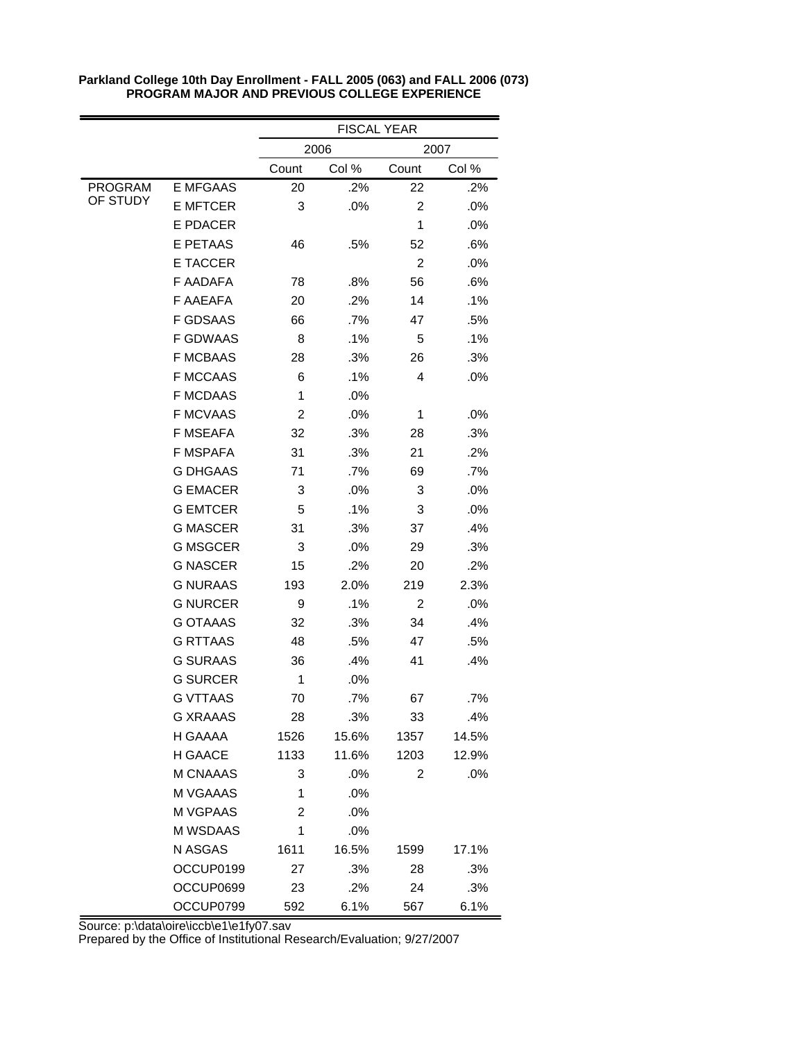|                |                 | <b>FISCAL YEAR</b> |       |                |        |
|----------------|-----------------|--------------------|-------|----------------|--------|
|                |                 | 2006<br>2007       |       |                |        |
|                |                 | Count              | Col % | Count          | Col %  |
| <b>PROGRAM</b> | <b>E MFGAAS</b> | 20                 | .2%   | 22             | .2%    |
| OF STUDY       | <b>E MFTCER</b> | 3                  | .0%   | $\overline{2}$ | .0%    |
|                | <b>E PDACER</b> |                    |       | 1              | .0%    |
|                | <b>E PETAAS</b> | 46                 | .5%   | 52             | .6%    |
|                | E TACCER        |                    |       | $\overline{c}$ | .0%    |
|                | <b>F AADAFA</b> | 78                 | .8%   | 56             | .6%    |
|                | <b>F AAEAFA</b> | 20                 | .2%   | 14             | .1%    |
|                | <b>F GDSAAS</b> | 66                 | .7%   | 47             | .5%    |
|                | <b>F GDWAAS</b> | 8                  | .1%   | 5              | .1%    |
|                | <b>F MCBAAS</b> | 28                 | .3%   | 26             | .3%    |
|                | <b>F MCCAAS</b> | 6                  | .1%   | 4              | .0%    |
|                | <b>F MCDAAS</b> | 1                  | .0%   |                |        |
|                | <b>F MCVAAS</b> | $\overline{2}$     | .0%   | 1              | $.0\%$ |
|                | <b>F MSEAFA</b> | 32                 | .3%   | 28             | .3%    |
|                | <b>F MSPAFA</b> | 31                 | .3%   | 21             | .2%    |
|                | <b>G DHGAAS</b> | 71                 | .7%   | 69             | .7%    |
|                | <b>G EMACER</b> | 3                  | .0%   | 3              | .0%    |
|                | <b>G EMTCER</b> | 5                  | .1%   | 3              | .0%    |
|                | <b>G MASCER</b> | 31                 | .3%   | 37             | .4%    |
|                | <b>G MSGCER</b> | 3                  | .0%   | 29             | .3%    |
|                | <b>G NASCER</b> | 15                 | .2%   | 20             | .2%    |
|                | <b>G NURAAS</b> | 193                | 2.0%  | 219            | 2.3%   |
|                | <b>G NURCER</b> | 9                  | .1%   | $\overline{2}$ | .0%    |
|                | <b>G OTAAAS</b> | 32                 | .3%   | 34             | .4%    |
|                | <b>G RTTAAS</b> | 48                 | .5%   | 47             | .5%    |
|                | <b>G SURAAS</b> | 36                 | .4%   | 41             | .4%    |
|                | <b>G SURCER</b> | 1                  | .0%   |                |        |
|                | <b>G VTTAAS</b> | 70                 | .7%   | 67             | .7%    |
|                | <b>G XRAAAS</b> | 28                 | .3%   | 33             | .4%    |
|                | H GAAAA         | 1526               | 15.6% | 1357           | 14.5%  |
|                | H GAACE         | 1133               | 11.6% | 1203           | 12.9%  |
|                | M CNAAAS        | 3                  | .0%   | $\overline{2}$ | .0%    |
|                | M VGAAAS        | 1                  | .0%   |                |        |
|                | M VGPAAS        | $\overline{2}$     | .0%   |                |        |
|                | M WSDAAS        | 1                  | .0%   |                |        |
|                | N ASGAS         | 1611               | 16.5% | 1599           | 17.1%  |
|                | OCCUP0199       | 27                 | .3%   | 28             | .3%    |
|                | OCCUP0699       | 23                 | .2%   | 24             | .3%    |
|                | OCCUP0799       | 592                | 6.1%  | 567            | 6.1%   |

Source: p:\data\oire\iccb\e1\e1fy07.sav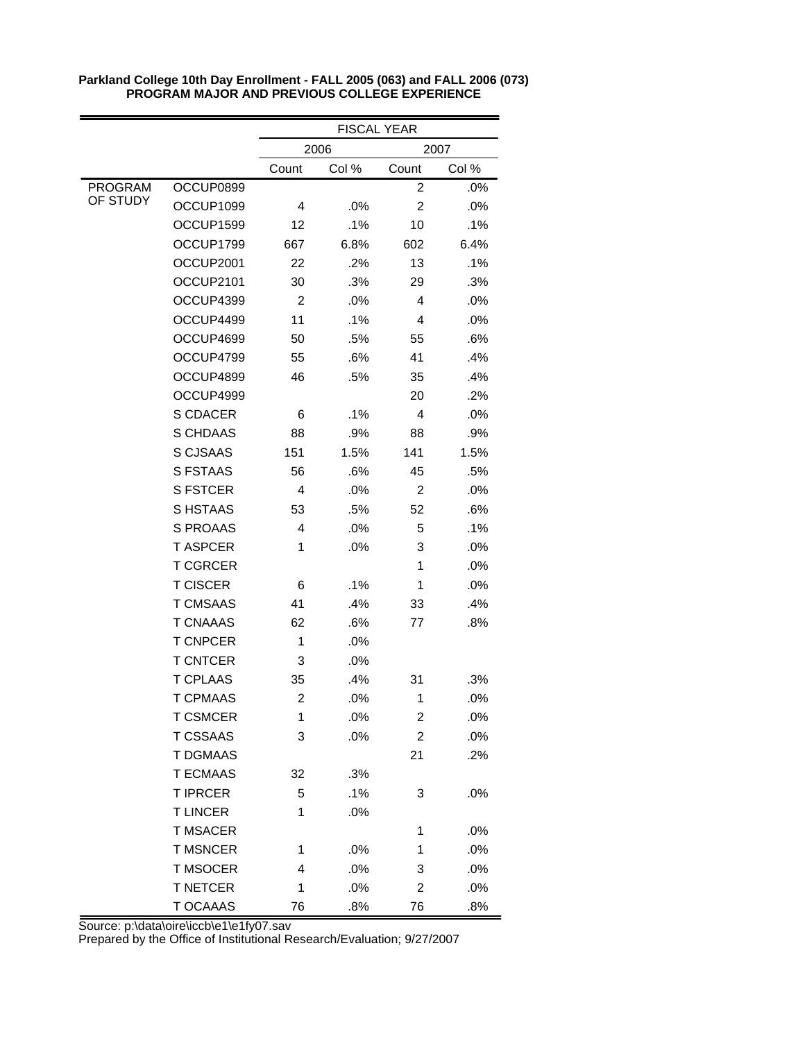|                |                 | <b>FISCAL YEAR</b> |       |                |       |
|----------------|-----------------|--------------------|-------|----------------|-------|
|                |                 | 2007<br>2006       |       |                |       |
|                |                 | Count              | Col % | Count          | Col % |
| <b>PROGRAM</b> | OCCUP0899       |                    |       | $\overline{c}$ | .0%   |
| OF STUDY       | OCCUP1099       | 4                  | .0%   | $\overline{c}$ | .0%   |
|                | OCCUP1599       | 12                 | .1%   | 10             | .1%   |
|                | OCCUP1799       | 667                | 6.8%  | 602            | 6.4%  |
|                | OCCUP2001       | 22                 | .2%   | 13             | .1%   |
|                | OCCUP2101       | 30                 | .3%   | 29             | .3%   |
|                | OCCUP4399       | $\overline{2}$     | .0%   | 4              | .0%   |
|                | OCCUP4499       | 11                 | .1%   | 4              | .0%   |
|                | OCCUP4699       | 50                 | .5%   | 55             | .6%   |
|                | OCCUP4799       | 55                 | .6%   | 41             | .4%   |
|                | OCCUP4899       | 46                 | .5%   | 35             | .4%   |
|                | OCCUP4999       |                    |       | 20             | .2%   |
|                | <b>S CDACER</b> | 6                  | .1%   | 4              | .0%   |
|                | S CHDAAS        | 88                 | .9%   | 88             | .9%   |
|                | <b>S CJSAAS</b> | 151                | 1.5%  | 141            | 1.5%  |
|                | <b>S FSTAAS</b> | 56                 | .6%   | 45             | .5%   |
|                | <b>S FSTCER</b> | 4                  | .0%   | 2              | .0%   |
|                | S HSTAAS        | 53                 | .5%   | 52             | .6%   |
|                | S PROAAS        | 4                  | .0%   | 5              | .1%   |
|                | <b>TASPCER</b>  | 1                  | .0%   | 3              | .0%   |
|                | <b>T CGRCER</b> |                    |       | 1              | .0%   |
|                | <b>T CISCER</b> | 6                  | .1%   | 1              | .0%   |
|                | <b>T CMSAAS</b> | 41                 | .4%   | 33             | .4%   |
|                | <b>T CNAAAS</b> | 62                 | .6%   | 77             | .8%   |
|                | <b>T CNPCER</b> | 1                  | .0%   |                |       |
|                | <b>T CNTCER</b> | 3                  | .0%   |                |       |
|                | <b>T CPLAAS</b> | 35                 | .4%   | 31             | .3%   |
|                | <b>T CPMAAS</b> | $\overline{c}$     | .0%   | 1              | .0%   |
|                | <b>T CSMCER</b> | 1                  | .0%   | 2              | .0%   |
|                | <b>T CSSAAS</b> | 3                  | .0%   | $\overline{c}$ | .0%   |
|                | <b>T DGMAAS</b> |                    |       | 21             | .2%   |
|                | <b>T ECMAAS</b> | 32                 | .3%   |                |       |
|                | <b>T IPRCER</b> | 5                  | .1%   | 3              | .0%   |
|                | <b>TLINCER</b>  | 1                  | .0%   |                |       |
|                | <b>T MSACER</b> |                    |       | 1              | .0%   |
|                | <b>T MSNCER</b> | 1                  | .0%   | 1              | .0%   |
|                | <b>T MSOCER</b> | 4                  | .0%   | 3              | .0%   |
|                | <b>T NETCER</b> | 1                  | .0%   | 2              | .0%   |
|                | T OCAAAS        | 76                 | .8%   | 76             | .8%   |

Source: p:\data\oire\iccb\e1\e1fy07.sav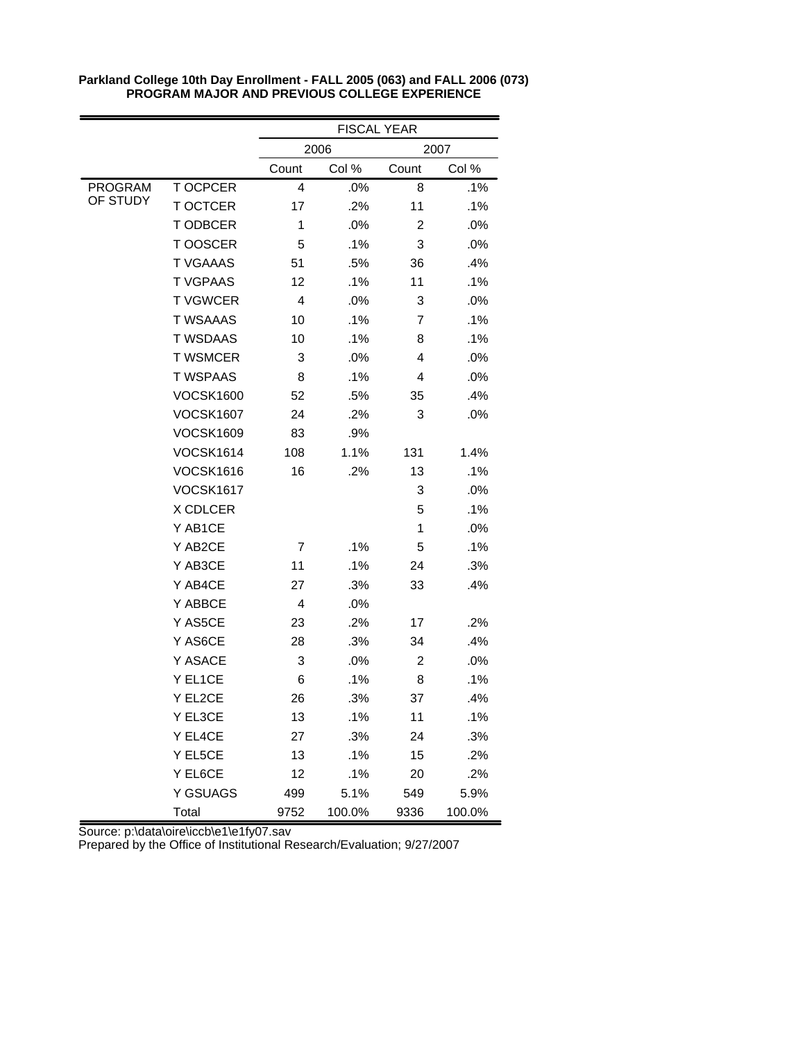|                |                  | <b>FISCAL YEAR</b> |        |                |        |  |
|----------------|------------------|--------------------|--------|----------------|--------|--|
|                |                  |                    | 2006   |                | 2007   |  |
|                |                  | Count              | Col %  | Count          | Col %  |  |
| <b>PROGRAM</b> | <b>TOCPCER</b>   | 4                  | .0%    | 8              | .1%    |  |
| OF STUDY       | <b>T OCTCER</b>  | 17                 | .2%    | 11             | .1%    |  |
|                | <b>TODBCER</b>   | 1                  | .0%    | $\overline{2}$ | .0%    |  |
|                | T OOSCER         | 5                  | .1%    | 3              | .0%    |  |
|                | <b>T VGAAAS</b>  | 51                 | .5%    | 36             | .4%    |  |
|                | <b>T VGPAAS</b>  | 12                 | .1%    | 11             | .1%    |  |
|                | <b>TVGWCER</b>   | 4                  | .0%    | 3              | .0%    |  |
|                | <b>T WSAAAS</b>  | 10                 | .1%    | 7              | .1%    |  |
|                | <b>T WSDAAS</b>  | 10                 | .1%    | 8              | .1%    |  |
|                | <b>T WSMCER</b>  | 3                  | .0%    | 4              | .0%    |  |
|                | <b>T WSPAAS</b>  | 8                  | .1%    | 4              | .0%    |  |
|                | <b>VOCSK1600</b> | 52                 | .5%    | 35             | .4%    |  |
|                | <b>VOCSK1607</b> | 24                 | .2%    | 3              | .0%    |  |
|                | <b>VOCSK1609</b> | 83                 | .9%    |                |        |  |
|                | <b>VOCSK1614</b> | 108                | 1.1%   | 131            | 1.4%   |  |
|                | <b>VOCSK1616</b> | 16                 | .2%    | 13             | .1%    |  |
|                | <b>VOCSK1617</b> |                    |        | 3              | .0%    |  |
|                | X CDLCER         |                    |        | 5              | .1%    |  |
|                | Y AB1CE          |                    |        | 1              | .0%    |  |
|                | Y AB2CE          | 7                  | .1%    | 5              | .1%    |  |
|                | Y AB3CE          | 11                 | .1%    | 24             | .3%    |  |
|                | Y AB4CE          | 27                 | .3%    | 33             | .4%    |  |
|                | Y ABBCE          | 4                  | .0%    |                |        |  |
|                | Y AS5CE          | 23                 | .2%    | 17             | .2%    |  |
|                | Y AS6CE          | 28                 | .3%    | 34             | .4%    |  |
|                | Y ASACE          | 3                  | .0%    | 2              | .0%    |  |
|                | Y EL1CE          | 6                  | .1%    | 8              | .1%    |  |
|                | Y EL2CE          | 26                 | .3%    | 37             | .4%    |  |
|                | Y EL3CE          | 13                 | .1%    | 11             | .1%    |  |
|                | Y EL4CE          | 27                 | .3%    | 24             | .3%    |  |
|                | Y EL5CE          | 13                 | .1%    | 15             | .2%    |  |
|                | Y EL6CE          | 12                 | .1%    | 20             | .2%    |  |
|                | Y GSUAGS         | 499                | 5.1%   | 549            | 5.9%   |  |
|                | Total            | 9752               | 100.0% | 9336           | 100.0% |  |

Source: p:\data\oire\iccb\e1\e1fy07.sav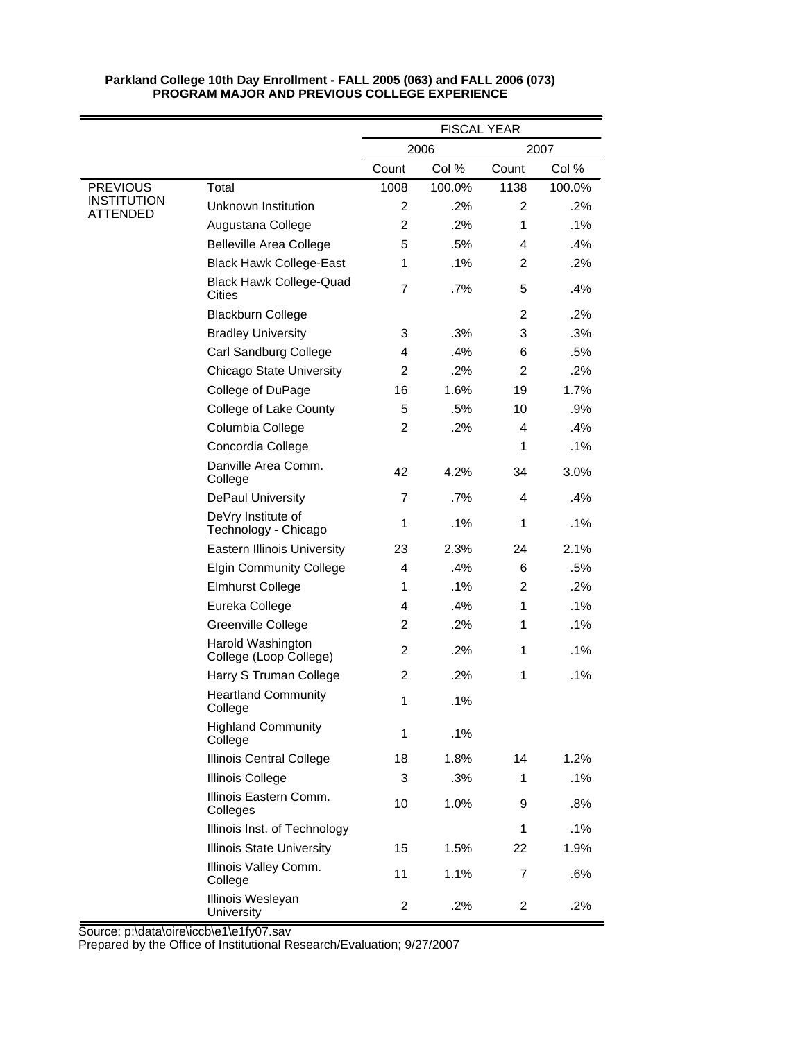|                                       |                                             | <b>FISCAL YEAR</b> |        |                |        |
|---------------------------------------|---------------------------------------------|--------------------|--------|----------------|--------|
|                                       |                                             | 2006<br>2007       |        |                |        |
|                                       |                                             | Count              | Col %  | Count          | Col %  |
| <b>PREVIOUS</b>                       | Total                                       | 1008               | 100.0% | 1138           | 100.0% |
| <b>INSTITUTION</b><br><b>ATTENDED</b> | Unknown Institution                         | 2                  | $.2\%$ | $\overline{2}$ | $.2\%$ |
|                                       | Augustana College                           | $\overline{2}$     | .2%    | 1              | .1%    |
|                                       | <b>Belleville Area College</b>              | 5                  | .5%    | 4              | .4%    |
|                                       | <b>Black Hawk College-East</b>              | 1                  | .1%    | 2              | .2%    |
|                                       | <b>Black Hawk College-Quad</b><br>Cities    | $\overline{7}$     | $.7\%$ | 5              | .4%    |
|                                       | <b>Blackburn College</b>                    |                    |        | $\overline{2}$ | .2%    |
|                                       | <b>Bradley University</b>                   | 3                  | .3%    | 3              | .3%    |
|                                       | Carl Sandburg College                       | 4                  | .4%    | 6              | .5%    |
|                                       | <b>Chicago State University</b>             | 2                  | .2%    | 2              | .2%    |
|                                       | College of DuPage                           | 16                 | 1.6%   | 19             | 1.7%   |
|                                       | College of Lake County                      | 5                  | .5%    | 10             | .9%    |
|                                       | Columbia College                            | $\overline{c}$     | .2%    | 4              | .4%    |
|                                       | Concordia College                           |                    |        | 1              | .1%    |
|                                       | Danville Area Comm.<br>College              | 42                 | 4.2%   | 34             | 3.0%   |
|                                       | <b>DePaul University</b>                    | $\overline{7}$     | .7%    | 4              | .4%    |
|                                       | DeVry Institute of<br>Technology - Chicago  | 1                  | .1%    | 1              | .1%    |
|                                       | <b>Eastern Illinois University</b>          | 23                 | 2.3%   | 24             | 2.1%   |
|                                       | <b>Elgin Community College</b>              | 4                  | .4%    | 6              | .5%    |
|                                       | <b>Elmhurst College</b>                     | 1                  | .1%    | $\overline{2}$ | .2%    |
|                                       | Eureka College                              | 4                  | .4%    | 1              | .1%    |
|                                       | Greenville College                          | 2                  | .2%    | 1              | .1%    |
|                                       | Harold Washington<br>College (Loop College) | $\overline{2}$     | .2%    | 1              | .1%    |
|                                       | Harry S Truman College                      | 2                  | .2%    | 1              | .1%    |
|                                       | <b>Heartland Community</b><br>College       | 1                  | .1%    |                |        |
|                                       | <b>Highland Community</b><br>College        | 1                  | .1%    |                |        |
|                                       | <b>Illinois Central College</b>             | 18                 | 1.8%   | 14             | 1.2%   |
|                                       | <b>Illinois College</b>                     | 3                  | .3%    | 1              | .1%    |
|                                       | Illinois Eastern Comm.<br>Colleges          | 10                 | 1.0%   | 9              | .8%    |
|                                       | Illinois Inst. of Technology                |                    |        | 1              | .1%    |
|                                       | <b>Illinois State University</b>            | 15                 | 1.5%   | 22             | 1.9%   |
|                                       | Illinois Valley Comm.<br>College            | 11                 | 1.1%   | $\overline{7}$ | .6%    |
|                                       | Illinois Wesleyan<br>University             | 2                  | .2%    | $\overline{2}$ | .2%    |

Source: p:\data\oire\iccb\e1\e1fy07.sav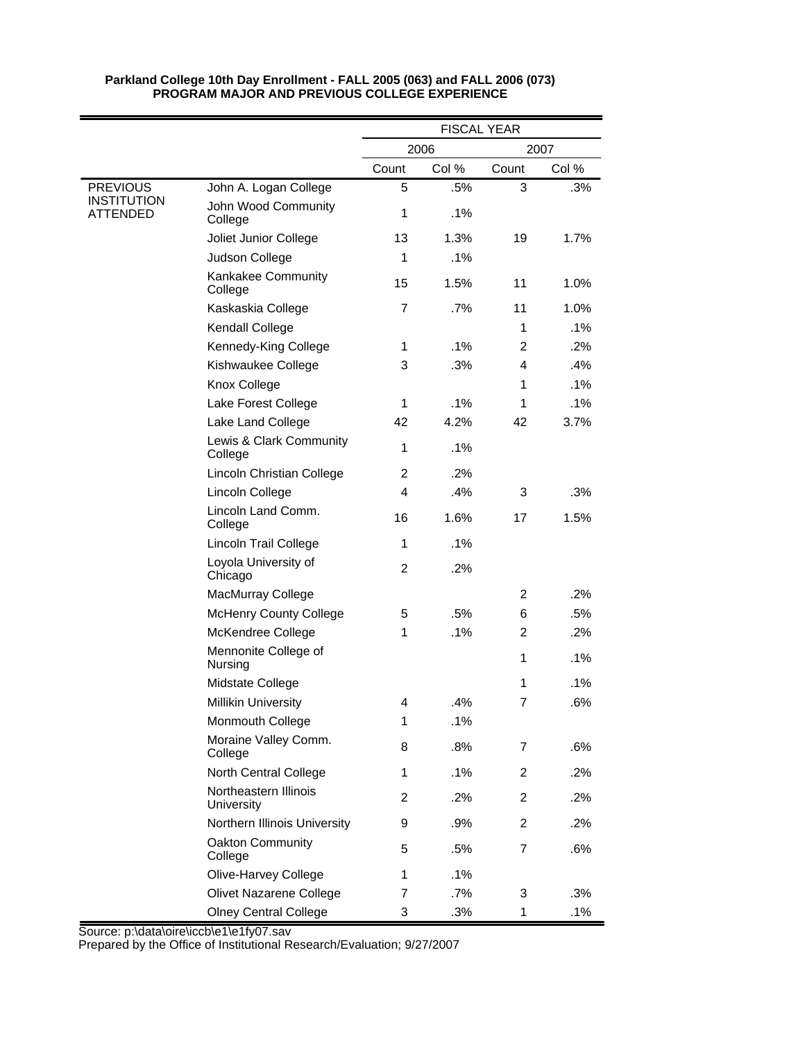|                                |                                     | <b>FISCAL YEAR</b> |        |                |       |  |
|--------------------------------|-------------------------------------|--------------------|--------|----------------|-------|--|
|                                |                                     | 2006               |        |                | 2007  |  |
|                                |                                     | Count              | Col %  | Count          | Col % |  |
| <b>PREVIOUS</b>                | John A. Logan College               | 5                  | .5%    | 3              | .3%   |  |
| <b>INSTITUTION</b><br>ATTENDED | John Wood Community<br>College      | $\mathbf{1}$       | .1%    |                |       |  |
|                                | Joliet Junior College               | 13                 | 1.3%   | 19             | 1.7%  |  |
|                                | Judson College                      | 1                  | .1%    |                |       |  |
|                                | Kankakee Community<br>College       | 15                 | 1.5%   | 11             | 1.0%  |  |
|                                | Kaskaskia College                   | $\overline{7}$     | .7%    | 11             | 1.0%  |  |
|                                | Kendall College                     |                    |        | 1              | .1%   |  |
|                                | Kennedy-King College                | 1                  | .1%    | $\overline{c}$ | .2%   |  |
|                                | Kishwaukee College                  | 3                  | .3%    | 4              | .4%   |  |
|                                | Knox College                        |                    |        | 1              | .1%   |  |
|                                | Lake Forest College                 | 1                  | .1%    | 1              | .1%   |  |
|                                | Lake Land College                   | 42                 | 4.2%   | 42             | 3.7%  |  |
|                                | Lewis & Clark Community<br>College  | $\mathbf{1}$       | .1%    |                |       |  |
|                                | Lincoln Christian College           | 2                  | .2%    |                |       |  |
|                                | Lincoln College                     | 4                  | .4%    | 3              | .3%   |  |
|                                | Lincoln Land Comm.<br>College       | 16                 | 1.6%   | 17             | 1.5%  |  |
|                                | Lincoln Trail College               | 1                  | .1%    |                |       |  |
|                                | Loyola University of<br>Chicago     | 2                  | .2%    |                |       |  |
|                                | MacMurray College                   |                    |        | 2              | .2%   |  |
|                                | <b>McHenry County College</b>       | 5                  | .5%    | 6              | .5%   |  |
|                                | McKendree College                   | 1                  | .1%    | $\overline{c}$ | .2%   |  |
|                                | Mennonite College of<br>Nursing     |                    |        | 1              | .1%   |  |
|                                | Midstate College                    |                    |        | 1              | .1%   |  |
|                                | <b>Millikin University</b>          | 4                  | .4%    | 7              | .6%   |  |
|                                | Monmouth College                    | 1                  | .1%    |                |       |  |
|                                | Moraine Valley Comm.<br>College     | 8                  | .8%    | 7              | .6%   |  |
|                                | North Central College               | 1                  | .1%    | $\overline{2}$ | .2%   |  |
|                                | Northeastern Illinois<br>University | 2                  | .2%    | 2              | .2%   |  |
|                                | Northern Illinois University        | 9                  | .9%    | 2              | .2%   |  |
|                                | Oakton Community<br>College         | 5                  | .5%    | 7              | .6%   |  |
|                                | Olive-Harvey College                | 1                  | .1%    |                |       |  |
|                                | Olivet Nazarene College             | 7                  | $.7\%$ | 3              | .3%   |  |
|                                | <b>Olney Central College</b>        | 3                  | .3%    | 1              | .1%   |  |

Source: p:\data\oire\iccb\e1\e1fy07.sav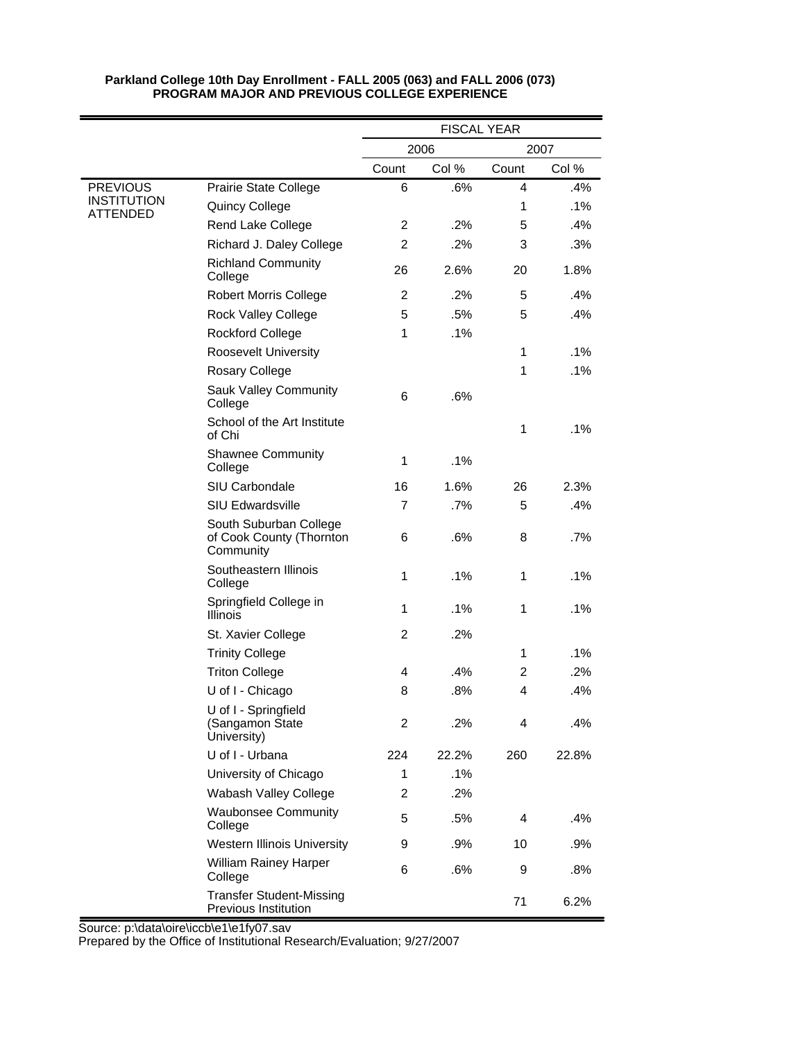|                                |                                                                 |                |       | <b>FISCAL YEAR</b> |       |
|--------------------------------|-----------------------------------------------------------------|----------------|-------|--------------------|-------|
|                                |                                                                 | 2006<br>2007   |       |                    |       |
|                                |                                                                 | Count          | Col % | Count              | Col % |
| <b>PREVIOUS</b>                | Prairie State College                                           | 6              | .6%   | 4                  | .4%   |
| <b>INSTITUTION</b><br>ATTENDED | Quincy College                                                  |                |       | 1                  | .1%   |
|                                | Rend Lake College                                               | 2              | .2%   | 5                  | .4%   |
|                                | Richard J. Daley College                                        | $\overline{2}$ | .2%   | 3                  | .3%   |
|                                | <b>Richland Community</b><br>College                            | 26             | 2.6%  | 20                 | 1.8%  |
|                                | <b>Robert Morris College</b>                                    | $\overline{c}$ | .2%   | 5                  | .4%   |
|                                | <b>Rock Valley College</b>                                      | 5              | .5%   | 5                  | .4%   |
|                                | <b>Rockford College</b>                                         | 1              | .1%   |                    |       |
|                                | <b>Roosevelt University</b>                                     |                |       | 1                  | .1%   |
|                                | Rosary College                                                  |                |       | 1                  | .1%   |
|                                | <b>Sauk Valley Community</b><br>College                         | 6              | .6%   |                    |       |
|                                | School of the Art Institute<br>of Chi                           |                |       | 1                  | .1%   |
|                                | <b>Shawnee Community</b><br>College                             | 1              | .1%   |                    |       |
|                                | SIU Carbondale                                                  | 16             | 1.6%  | 26                 | 2.3%  |
|                                | <b>SIU Edwardsville</b>                                         | 7              | .7%   | 5                  | .4%   |
|                                | South Suburban College<br>of Cook County (Thornton<br>Community | 6              | .6%   | 8                  | .7%   |
|                                | Southeastern Illinois<br>College                                | 1              | .1%   | 1                  | .1%   |
|                                | Springfield College in<br>Illinois                              | 1              | .1%   | 1                  | .1%   |
|                                | St. Xavier College                                              | 2              | .2%   |                    |       |
|                                | <b>Trinity College</b>                                          |                |       | $\mathbf{1}$       | .1%   |
|                                | <b>Triton College</b>                                           | 4              | .4%   | 2                  | .2%   |
|                                | U of I - Chicago                                                | 8              | .8%   | 4                  | .4%   |
|                                | U of I - Springfield<br>(Sangamon State<br>University)          | 2              | .2%   | 4                  | .4%   |
|                                | U of I - Urbana                                                 | 224            | 22.2% | 260                | 22.8% |
|                                | University of Chicago                                           | $\mathbf{1}$   | .1%   |                    |       |
|                                | Wabash Valley College                                           | $\overline{c}$ | .2%   |                    |       |
|                                | <b>Waubonsee Community</b><br>College                           | 5              | .5%   | $\overline{4}$     | .4%   |
|                                | <b>Western Illinois University</b>                              | 9              | .9%   | 10                 | .9%   |
|                                | <b>William Rainey Harper</b><br>College                         | 6              | .6%   | 9                  | .8%   |
|                                | <b>Transfer Student-Missing</b><br>Previous Institution         |                |       | 71                 | 6.2%  |

Source: p:\data\oire\iccb\e1\e1fy07.sav